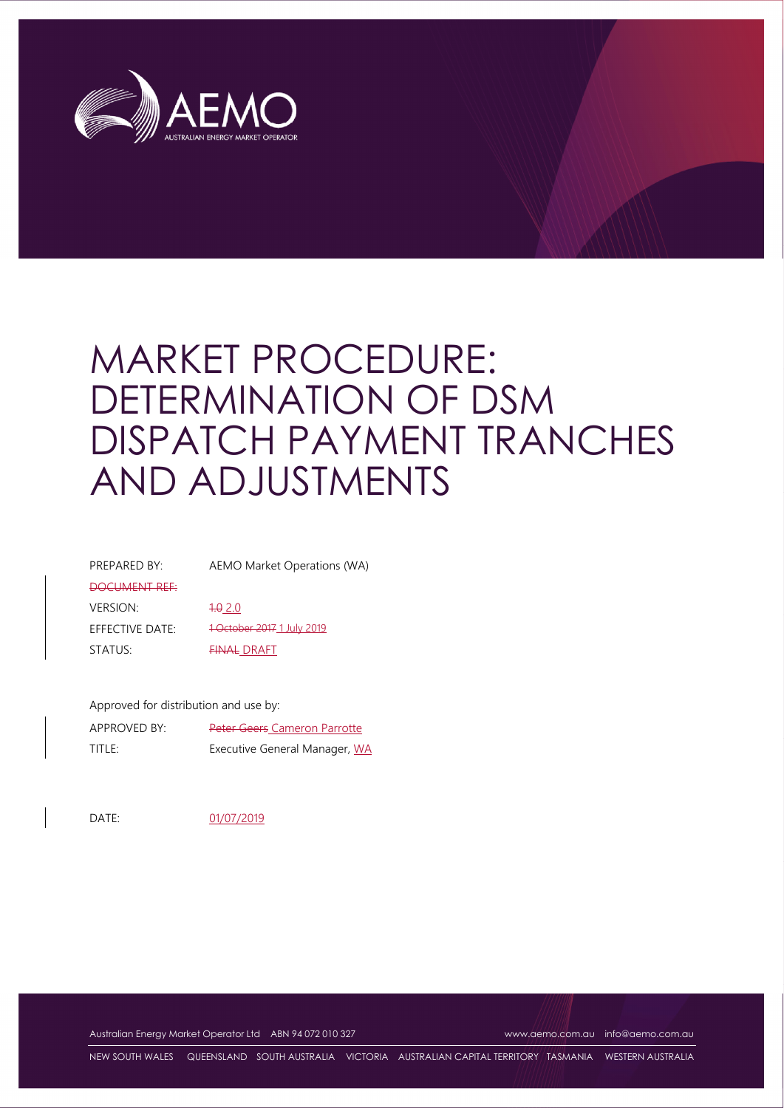

# MARKET PROCEDURE: DETERMINATION OF DSM DISPATCH PAYMENT TRANCHES AND ADJUSTMENTS

| PREPARED BY:    | AEMO Market Operations (WA) |
|-----------------|-----------------------------|
| DOCUMENT REF:   |                             |
| VERSION:        | 4.02.0                      |
| EFFECTIVE DATE: | 1-October 2017 1 July 2019  |
| STATUS:         | <b>FINAL DRAFT</b>          |

Approved for distribution and use by:

| APPROVED BY: | <b>Peter Geers Cameron Parrotte</b> |
|--------------|-------------------------------------|
| title:       | Executive General Manager, WA       |

DATE: 01/07/2019

Australian Energy Market Operator Ltd ABN 94 072 010 327 www.aemo.com.au info@aemo.com.au

NEW SOUTH WALES QUEENSLAND SOUTH AUSTRALIA VICTORIA AUSTRALIAN CAPITAL TERRITORY TASMANIA WESTERN AUSTRALIA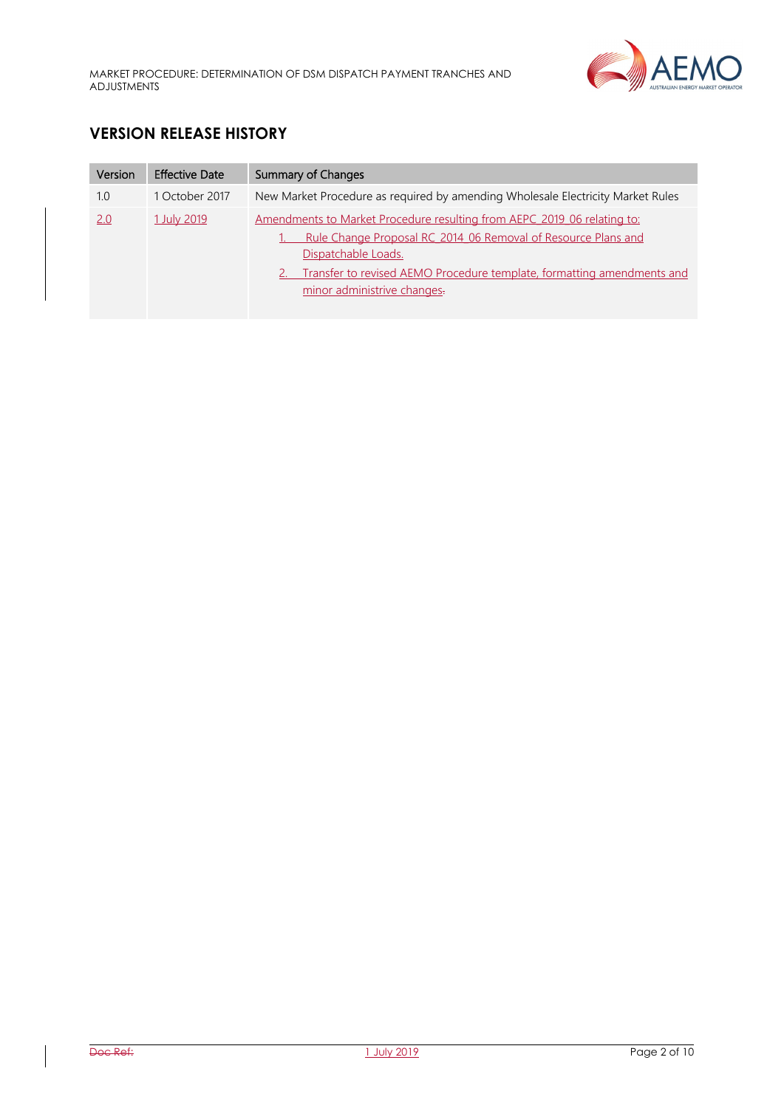

# **VERSION RELEASE HISTORY**

| Version | <b>Effective Date</b> | Summary of Changes                                                                                                                                                                                                                                                       |
|---------|-----------------------|--------------------------------------------------------------------------------------------------------------------------------------------------------------------------------------------------------------------------------------------------------------------------|
| 1.0     | 1 October 2017        | New Market Procedure as required by amending Wholesale Electricity Market Rules                                                                                                                                                                                          |
| 2.0     | 1 July 2019           | Amendments to Market Procedure resulting from AEPC 2019 06 relating to:<br>Rule Change Proposal RC 2014 06 Removal of Resource Plans and<br>Dispatchable Loads.<br>Transfer to revised AEMO Procedure template, formatting amendments and<br>minor administrive changes. |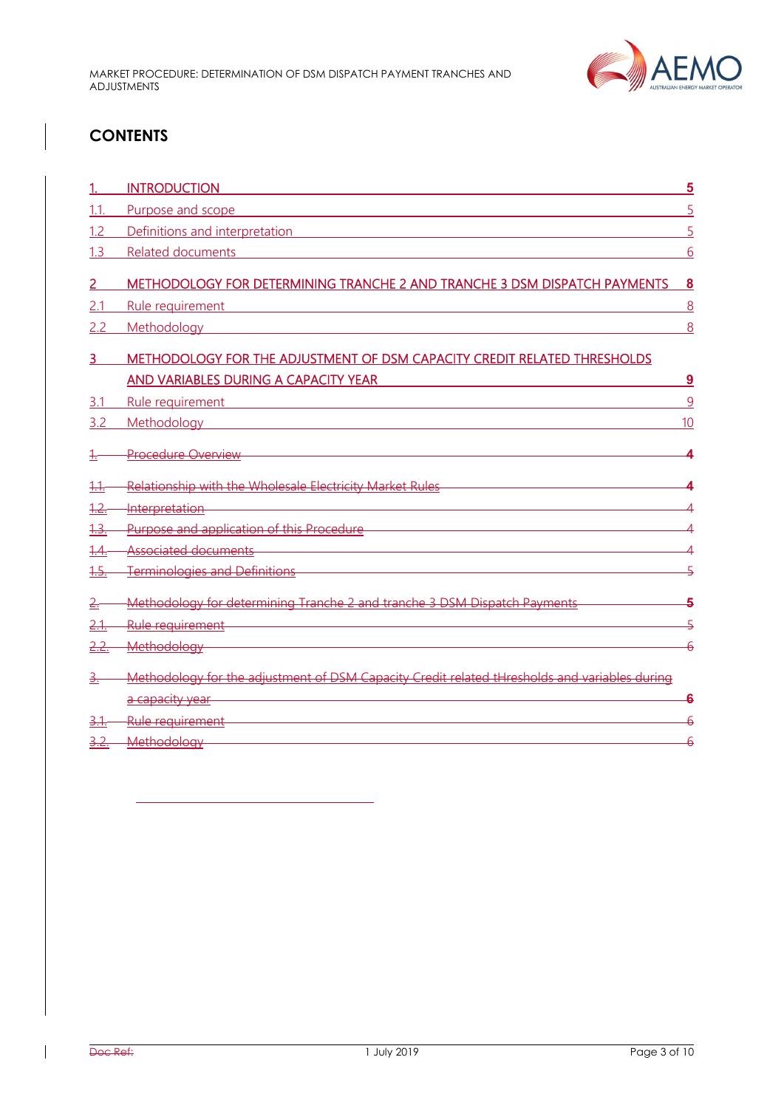

# **CONTENTS**

|                 | <b>INTRODUCTION</b>                                                                           | 5  |
|-----------------|-----------------------------------------------------------------------------------------------|----|
| 1.1             | Purpose and scope                                                                             | 5  |
| 1.2             | Definitions and interpretation                                                                | 5  |
| 1.3             | <b>Related documents</b>                                                                      | 6  |
|                 | METHODOLOGY FOR DETERMINING TRANCHE 2 AND TRANCHE 3 DSM DISPATCH PAYMENTS                     | 8  |
| 2.1             | Rule requirement                                                                              | 8  |
| 2.2             | Methodology                                                                                   | 8  |
| 3.              | METHODOLOGY FOR THE ADJUSTMENT OF DSM CAPACITY CREDIT RELATED THRESHOLDS                      |    |
|                 | AND VARIABLES DURING A CAPACITY YEAR                                                          | 9  |
| 3.1             | Rule requirement                                                                              | 9  |
| 3.2             | Methodology                                                                                   | 10 |
|                 | <b>Procedure Overview</b>                                                                     |    |
| <del>1.1.</del> | Relationship with the Wholesale Electricity Market Rules                                      |    |
| <u>1.2.</u>     | Interpretation                                                                                |    |
| 4.3             | Purpose and application of this Procedure                                                     |    |
|                 | Associated documents                                                                          |    |
| <u>1.5.</u>     | Terminologies and Definitions                                                                 |    |
|                 | Methodology for determining Tranche 2 and tranche 3 DSM Dispatch Payments                     | 5  |
| 2.1             | Rule requirement                                                                              |    |
|                 | <b>Methodology</b>                                                                            | 6  |
|                 | Methodology for the adjustment of DSM Capacity Credit related tHresholds and variables during |    |
|                 | a capacity year                                                                               |    |
|                 | Rule requirement                                                                              |    |
| 3.2             | Methodology                                                                                   |    |

 $\overline{a}$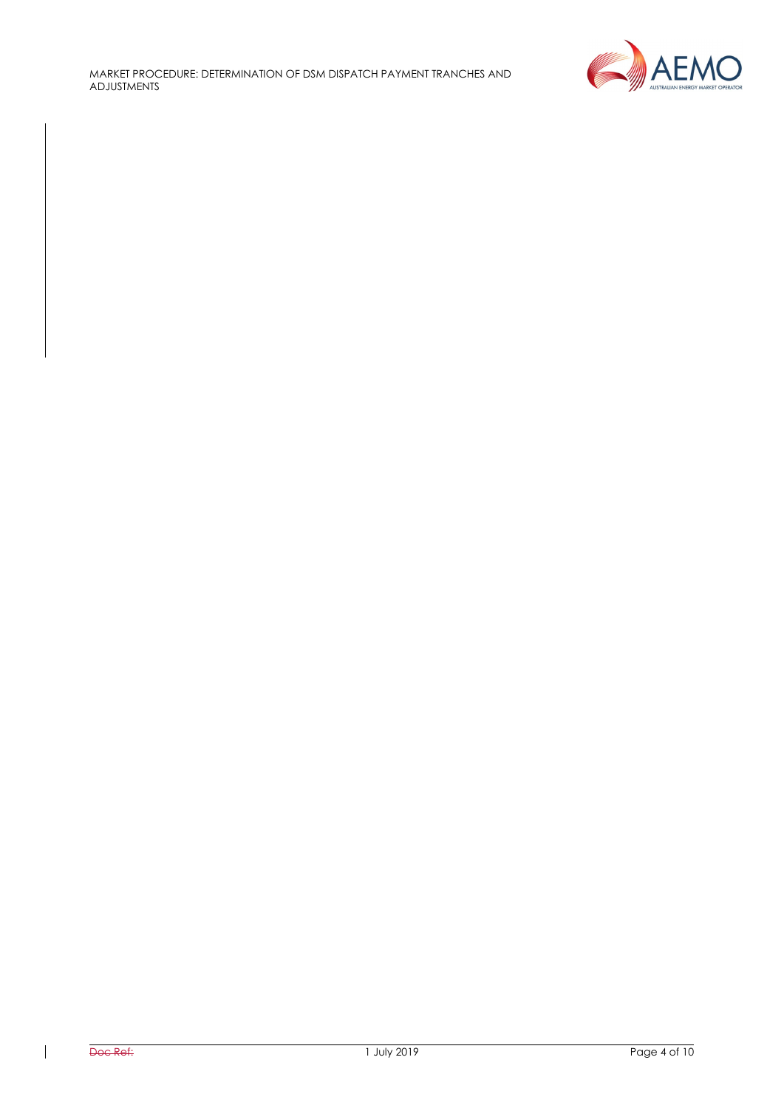

 $\overline{\phantom{a}}$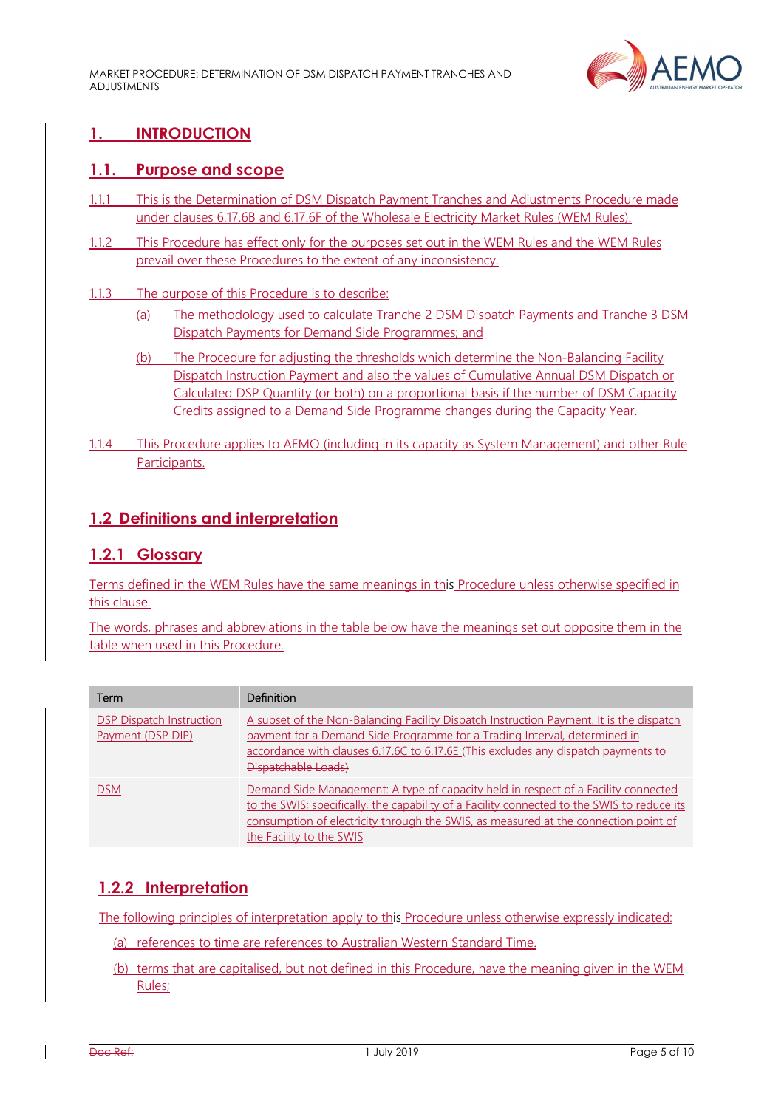MARKET PROCEDURE: DETERMINATION OF DSM DISPATCH PAYMENT TRANCHES AND ADJUSTMENTS



# **1. INTRODUCTION**

## **1.1. Purpose and scope**

- 1.1.1 This is the Determination of DSM Dispatch Payment Tranches and Adjustments Procedure made under clauses 6.17.6B and 6.17.6F of the Wholesale Electricity Market Rules (WEM Rules).
- 1.1.2 This Procedure has effect only for the purposes set out in the WEM Rules and the WEM Rules prevail over these Procedures to the extent of any inconsistency.
- 1.1.3 The purpose of this Procedure is to describe:
	- (a) The methodology used to calculate Tranche 2 DSM Dispatch Payments and Tranche 3 DSM Dispatch Payments for Demand Side Programmes; and
	- (b) The Procedure for adjusting the thresholds which determine the Non-Balancing Facility Dispatch Instruction Payment and also the values of Cumulative Annual DSM Dispatch or Calculated DSP Quantity (or both) on a proportional basis if the number of DSM Capacity Credits assigned to a Demand Side Programme changes during the Capacity Year.
- 1.1.4 This Procedure applies to AEMO (including in its capacity as System Management) and other Rule Participants.

## **1.2 Definitions and interpretation**

## **1.2.1 Glossary**

Terms defined in the WEM Rules have the same meanings in this Procedure unless otherwise specified in this clause.

The words, phrases and abbreviations in the table below have the meanings set out opposite them in the table when used in this Procedure.

| Term                                                 | Definition                                                                                                                                                                                                                                                                                           |
|------------------------------------------------------|------------------------------------------------------------------------------------------------------------------------------------------------------------------------------------------------------------------------------------------------------------------------------------------------------|
| <b>DSP Dispatch Instruction</b><br>Payment (DSP DIP) | A subset of the Non-Balancing Facility Dispatch Instruction Payment. It is the dispatch<br>payment for a Demand Side Programme for a Trading Interval, determined in<br>accordance with clauses 6.17.6C to 6.17.6E (This excludes any dispatch payments to<br>Dispatchable Loads)                    |
| <b>DSM</b>                                           | Demand Side Management: A type of capacity held in respect of a Facility connected<br>to the SWIS; specifically, the capability of a Facility connected to the SWIS to reduce its<br>consumption of electricity through the SWIS, as measured at the connection point of<br>the Facility to the SWIS |

## **1.2.2 Interpretation**

The following principles of interpretation apply to this Procedure unless otherwise expressly indicated:

- (a) references to time are references to Australian Western Standard Time.
- (b) terms that are capitalised, but not defined in this Procedure, have the meaning given in the WEM Rules;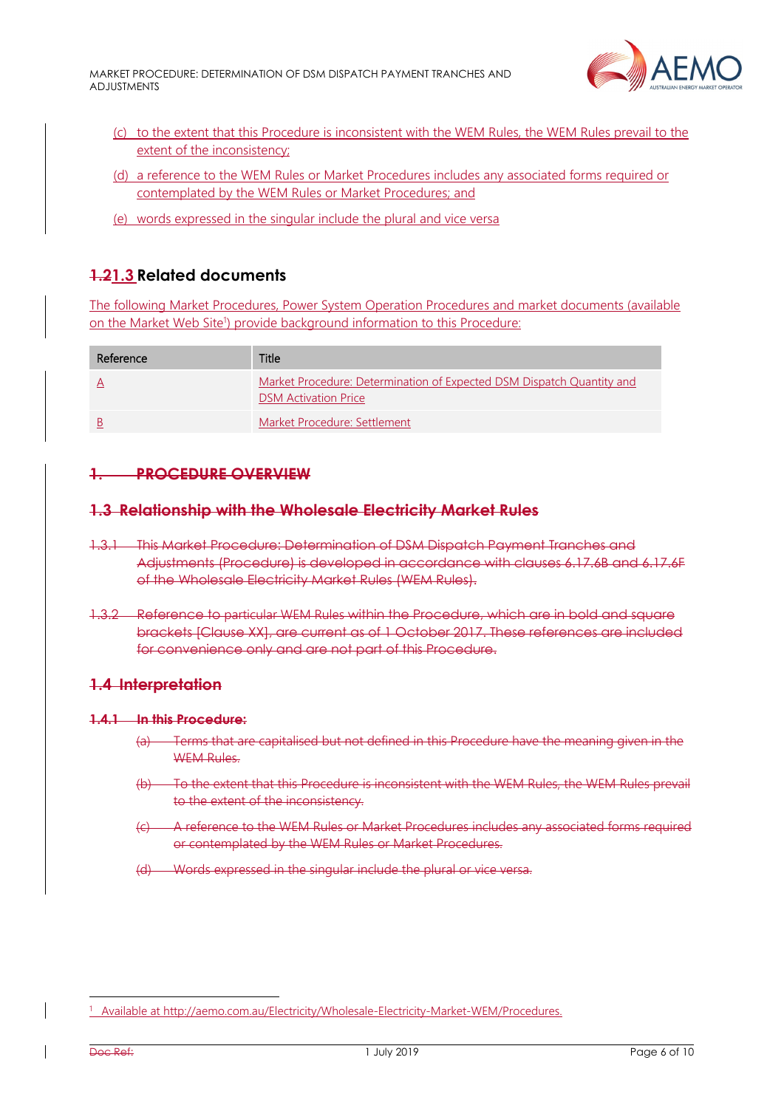

- (c) to the extent that this Procedure is inconsistent with the WEM Rules, the WEM Rules prevail to the extent of the inconsistency;
- (d) a reference to the WEM Rules or Market Procedures includes any associated forms required or contemplated by the WEM Rules or Market Procedures; and
- (e) words expressed in the singular include the plural and vice versa

# **1.21.3 Related documents**

The following Market Procedures, Power System Operation Procedures and market documents (available on the Market Web Site<sup>1</sup>) provide background information to this Procedure:

| Reference | <b>Title</b>                                                                                         |
|-----------|------------------------------------------------------------------------------------------------------|
|           | Market Procedure: Determination of Expected DSM Dispatch Quantity and<br><b>DSM</b> Activation Price |
|           | Market Procedure: Settlement                                                                         |

## **1. PROCEDURE OVERVIEW**

## **1.3 Relationship with the Wholesale Electricity Market Rules**

- 1.3.1 This Market Procedure: Determination of DSM Dispatch Payment Tranches and Adjustments (Procedure) is developed in accordance with clauses 6.17.6B and 6.17.6F of the Wholesale Electricity Market Rules (WEM Rules).
- 1.3.2 Reference to particular WEM Rules within the Procedure, which are in bold and square brackets [Clause XX], are current as of 1 October 2017. These references are included for convenience only and are not part of this Procedure.

## **1.4 Interpretation**

#### **1.4.1 In this Procedure:**

- (a) Terms that are capitalised but not defined in this Procedure have the meaning given in the WEM Rules.
- (b) To the extent that this Procedure is inconsistent with the WEM Rules, the WEM Rules prevail to the extent of the inconsistency.
- (c) A reference to the WEM Rules or Market Procedures includes any associated forms required or contemplated by the WEM Rules or Market Procedures.
- (d) Words expressed in the singular include the plural or vice versa.

l

<sup>&</sup>lt;sup>1</sup> Available at http://aemo.com.au/Electricity/Wholesale-Electricity-Market-WEM/Procedures.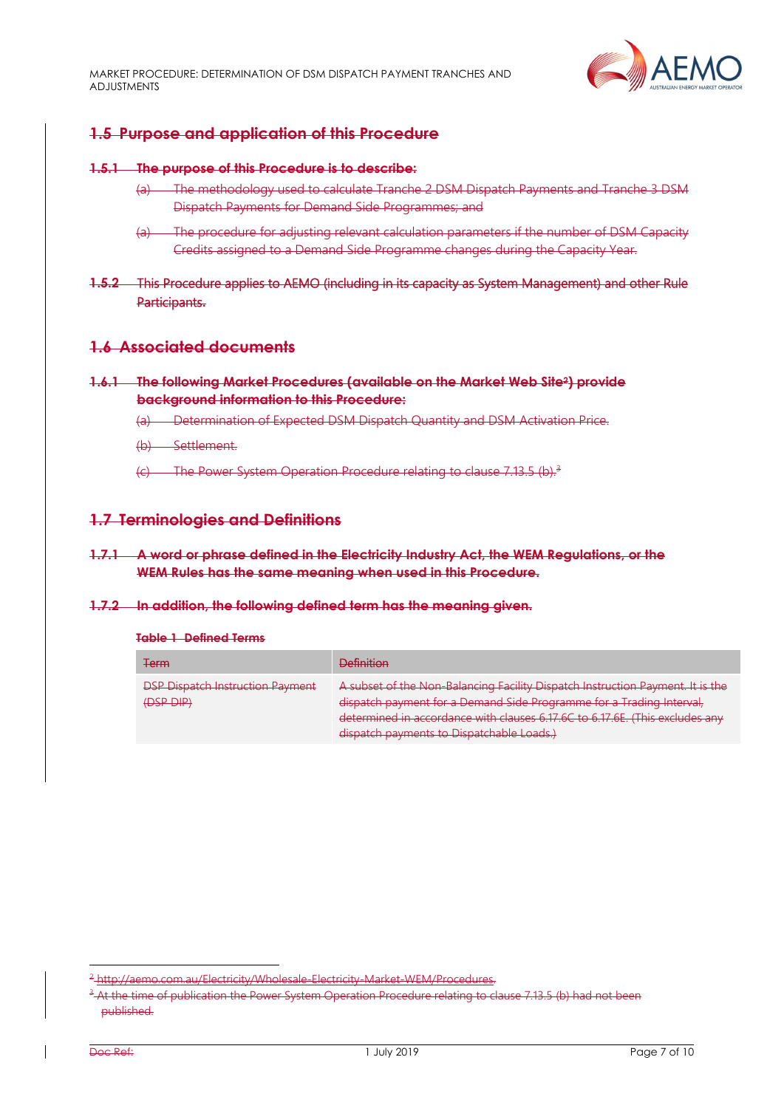MARKET PROCEDURE: DETERMINATION OF DSM DISPATCH PAYMENT TRANCHES AND ADJUSTMENTS



## **1.5 Purpose and application of this Procedure**

#### **1.5.1 The purpose of this Procedure is to describe:**

- (a) The methodology used to calculate Tranche 2 DSM Dispatch Payments and Tranche 3 DSM Dispatch Payments for Demand Side Programmes; and
- (a) The procedure for adjusting relevant calculation parameters if the number of DSM Capacity Credits assigned to a Demand Side Programme changes during the Capacity Year.
- **1.5.2** This Procedure applies to AEMO (including in its capacity as System Management) and other Rule Participants**.**

## **1.6 Associated documents**

#### **1.6.1 The following Market Procedures (available on the Market Web Site2) provide background information to this Procedure:**

(a) Determination of Expected DSM Dispatch Quantity and DSM Activation Price.

- (b) Settlement.
- $\text{Re}$  The Power System Operation Procedure relating to clause 7.13.5 (b).<sup>3</sup>

## **1.7 Terminologies and Definitions**

#### **1.7.1 A word or phrase defined in the Electricity Industry Act, the WEM Regulations, or the WEM Rules has the same meaning when used in this Procedure.**

#### **1.7.2 In addition, the following defined term has the meaning given.**

#### **Table 1 Defined Terms**

| <b>Term</b>                                          | <b>Definition</b>                                                                                                                                                                                                                                                                   |
|------------------------------------------------------|-------------------------------------------------------------------------------------------------------------------------------------------------------------------------------------------------------------------------------------------------------------------------------------|
| <b>DSP Dispatch Instruction Payment</b><br>(DSP DIP) | A subset of the Non-Balancing Facility Dispatch Instruction Payment. It is the<br>dispatch payment for a Demand Side Programme for a Trading Interval,<br>determined in accordance with clauses 6.17.6C to 6.17.6E. (This excludes any<br>dispatch payments to Dispatchable Loads.) |

l

<sup>&</sup>lt;sup>2</sup> http://aemo.com.au/Electricity/Wholesale-Electricity-Market-WEM/Procedures.

<sup>&</sup>lt;sup>3</sup> At the time of publication the Power System Operation Procedure relating to clause 7.13.5 (b) had not been published.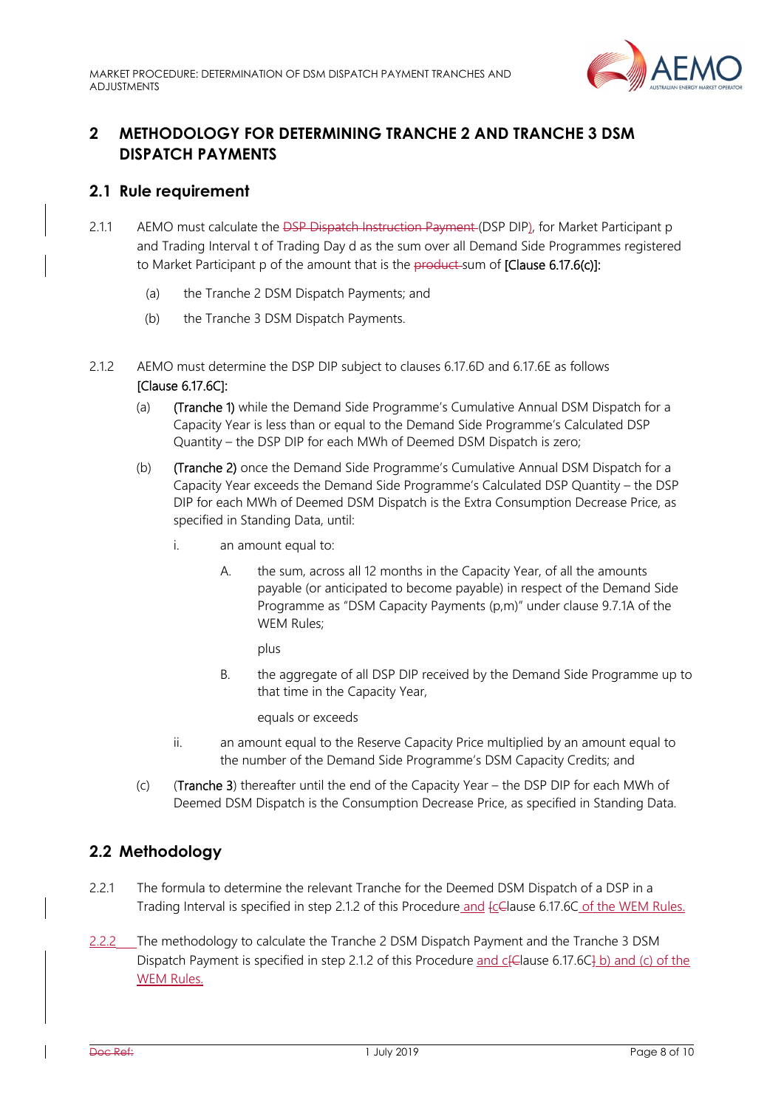

# **2 METHODOLOGY FOR DETERMINING TRANCHE 2 AND TRANCHE 3 DSM DISPATCH PAYMENTS**

## **2.1 Rule requirement**

- 2.1.1 AEMO must calculate the DSP Dispatch Instruction Payment (DSP DIP), for Market Participant p and Trading Interval t of Trading Day d as the sum over all Demand Side Programmes registered to Market Participant p of the amount that is the product-sum of [Clause 6.17.6(c)]:
	- (a) the Tranche 2 DSM Dispatch Payments; and
	- (b) the Tranche 3 DSM Dispatch Payments.
- 2.1.2 AEMO must determine the DSP DIP subject to clauses 6.17.6D and 6.17.6E as follows [Clause 6.17.6C]:
	- (a) (Tranche 1) while the Demand Side Programme's Cumulative Annual DSM Dispatch for a Capacity Year is less than or equal to the Demand Side Programme's Calculated DSP Quantity – the DSP DIP for each MWh of Deemed DSM Dispatch is zero;
	- (b) (Tranche 2) once the Demand Side Programme's Cumulative Annual DSM Dispatch for a Capacity Year exceeds the Demand Side Programme's Calculated DSP Quantity – the DSP DIP for each MWh of Deemed DSM Dispatch is the Extra Consumption Decrease Price, as specified in Standing Data, until:
		- i. an amount equal to:
			- A. the sum, across all 12 months in the Capacity Year, of all the amounts payable (or anticipated to become payable) in respect of the Demand Side Programme as "DSM Capacity Payments (p,m)" under clause 9.7.1A of the WEM Rules;

plus

B. the aggregate of all DSP DIP received by the Demand Side Programme up to that time in the Capacity Year,

equals or exceeds

- ii. an amount equal to the Reserve Capacity Price multiplied by an amount equal to the number of the Demand Side Programme's DSM Capacity Credits; and
- (c) (Tranche 3) thereafter until the end of the Capacity Year the DSP DIP for each MWh of Deemed DSM Dispatch is the Consumption Decrease Price, as specified in Standing Data.

# **2.2 Methodology**

- 2.2.1 The formula to determine the relevant Tranche for the Deemed DSM Dispatch of a DSP in a Trading Interval is specified in step 2.1.2 of this Procedure and *EC*lause 6.17.6C of the WEM Rules.
- 2.2.2 The methodology to calculate the Tranche 2 DSM Dispatch Payment and the Tranche 3 DSM Dispatch Payment is specified in step 2.1.2 of this Procedure and cfClause 6.17.6Cl b) and (c) of the WEM Rules.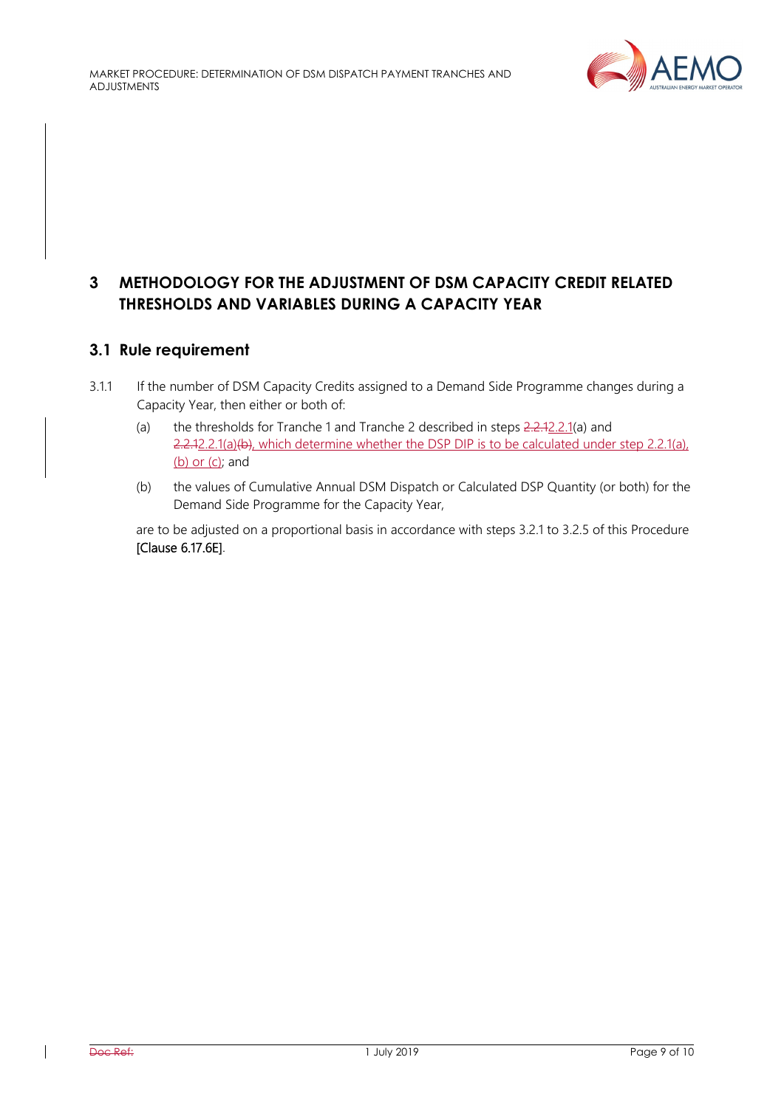

# **3 METHODOLOGY FOR THE ADJUSTMENT OF DSM CAPACITY CREDIT RELATED THRESHOLDS AND VARIABLES DURING A CAPACITY YEAR**

## **3.1 Rule requirement**

- 3.1.1 If the number of DSM Capacity Credits assigned to a Demand Side Programme changes during a Capacity Year, then either or both of:
	- (a) the thresholds for Tranche 1 and Tranche 2 described in steps 2.2.12.2.1(a) and 2.2.12.2.1(a)(b), which determine whether the DSP DIP is to be calculated under step 2.2.1(a), (b) or (c); and
	- (b) the values of Cumulative Annual DSM Dispatch or Calculated DSP Quantity (or both) for the Demand Side Programme for the Capacity Year,

are to be adjusted on a proportional basis in accordance with steps 3.2.1 to 3.2.5 of this Procedure [Clause 6.17.6E].